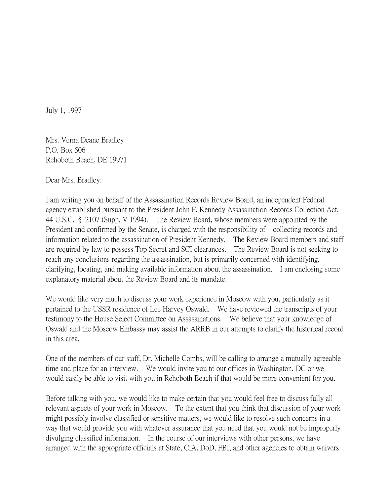July 1, 1997

Mrs. Verna Deane Bradley P.O. Box 506 Rehoboth Beach, DE 19971

Dear Mrs. Bradley:

I am writing you on behalf of the Assassination Records Review Board, an independent Federal agency established pursuant to the President John F. Kennedy Assassination Records Collection Act, 44 U.S.C. § 2107 (Supp. V 1994). The Review Board, whose members were appointed by the President and confirmed by the Senate, is charged with the responsibility of collecting records and information related to the assassination of President Kennedy. The Review Board members and staff are required by law to possess Top Secret and SCI clearances. The Review Board is not seeking to reach any conclusions regarding the assassination, but is primarily concerned with identifying, clarifying, locating, and making available information about the assassination. I am enclosing some explanatory material about the Review Board and its mandate.

We would like very much to discuss your work experience in Moscow with you, particularly as it pertained to the USSR residence of Lee Harvey Oswald. We have reviewed the transcripts of your testimony to the House Select Committee on Assassinations. We believe that your knowledge of Oswald and the Moscow Embassy may assist the ARRB in our attempts to clarify the historical record in this area.

One of the members of our staff, Dr. Michelle Combs, will be calling to arrange a mutually agreeable time and place for an interview. We would invite you to our offices in Washington, DC or we would easily be able to visit with you in Rehoboth Beach if that would be more convenient for you.

Before talking with you, we would like to make certain that you would feel free to discuss fully all relevant aspects of your work in Moscow. To the extent that you think that discussion of your work might possibly involve classified or sensitive matters, we would like to resolve such concerns in a way that would provide you with whatever assurance that you need that you would not be improperly divulging classified information. In the course of our interviews with other persons, we have arranged with the appropriate officials at State, CIA, DoD, FBI, and other agencies to obtain waivers